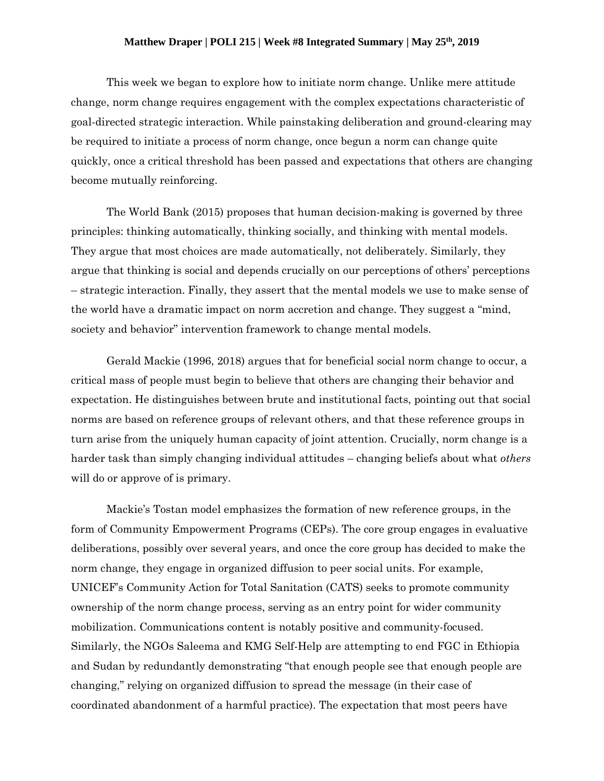## **Matthew Draper | POLI 215 | Week #8 Integrated Summary | May 25th, 2019**

This week we began to explore how to initiate norm change. Unlike mere attitude change, norm change requires engagement with the complex expectations characteristic of goal-directed strategic interaction. While painstaking deliberation and ground-clearing may be required to initiate a process of norm change, once begun a norm can change quite quickly, once a critical threshold has been passed and expectations that others are changing become mutually reinforcing.

The World Bank (2015) proposes that human decision-making is governed by three principles: thinking automatically, thinking socially, and thinking with mental models. They argue that most choices are made automatically, not deliberately. Similarly, they argue that thinking is social and depends crucially on our perceptions of others' perceptions – strategic interaction. Finally, they assert that the mental models we use to make sense of the world have a dramatic impact on norm accretion and change. They suggest a "mind, society and behavior" intervention framework to change mental models.

Gerald Mackie (1996, 2018) argues that for beneficial social norm change to occur, a critical mass of people must begin to believe that others are changing their behavior and expectation. He distinguishes between brute and institutional facts, pointing out that social norms are based on reference groups of relevant others, and that these reference groups in turn arise from the uniquely human capacity of joint attention. Crucially, norm change is a harder task than simply changing individual attitudes – changing beliefs about what *others* will do or approve of is primary.

Mackie's Tostan model emphasizes the formation of new reference groups, in the form of Community Empowerment Programs (CEPs). The core group engages in evaluative deliberations, possibly over several years, and once the core group has decided to make the norm change, they engage in organized diffusion to peer social units. For example, UNICEF's Community Action for Total Sanitation (CATS) seeks to promote community ownership of the norm change process, serving as an entry point for wider community mobilization. Communications content is notably positive and community-focused. Similarly, the NGOs Saleema and KMG Self-Help are attempting to end FGC in Ethiopia and Sudan by redundantly demonstrating "that enough people see that enough people are changing," relying on organized diffusion to spread the message (in their case of coordinated abandonment of a harmful practice). The expectation that most peers have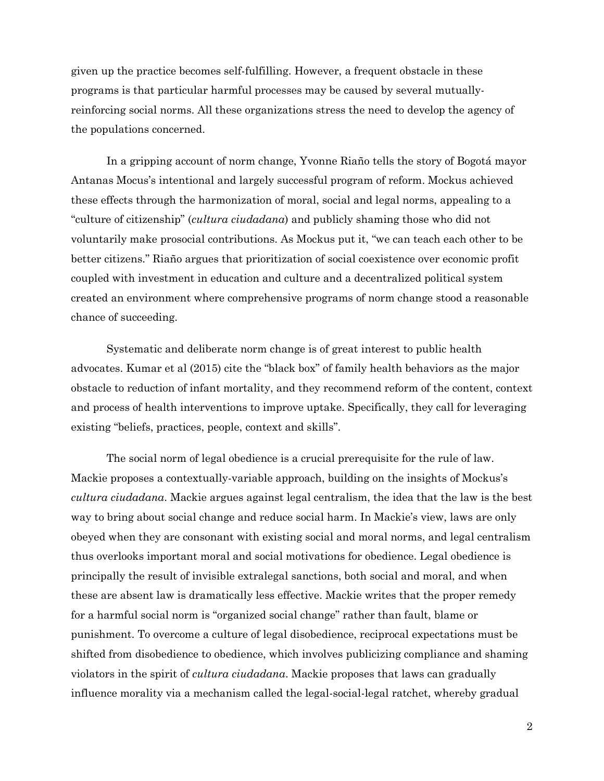given up the practice becomes self-fulfilling. However, a frequent obstacle in these programs is that particular harmful processes may be caused by several mutuallyreinforcing social norms. All these organizations stress the need to develop the agency of the populations concerned.

In a gripping account of norm change, Yvonne Riaño tells the story of Bogotá mayor Antanas Mocus's intentional and largely successful program of reform. Mockus achieved these effects through the harmonization of moral, social and legal norms, appealing to a "culture of citizenship" (*cultura ciudadana*) and publicly shaming those who did not voluntarily make prosocial contributions. As Mockus put it, "we can teach each other to be better citizens." Riaño argues that prioritization of social coexistence over economic profit coupled with investment in education and culture and a decentralized political system created an environment where comprehensive programs of norm change stood a reasonable chance of succeeding.

Systematic and deliberate norm change is of great interest to public health advocates. Kumar et al (2015) cite the "black box" of family health behaviors as the major obstacle to reduction of infant mortality, and they recommend reform of the content, context and process of health interventions to improve uptake. Specifically, they call for leveraging existing "beliefs, practices, people, context and skills".

The social norm of legal obedience is a crucial prerequisite for the rule of law. Mackie proposes a contextually-variable approach, building on the insights of Mockus's *cultura ciudadana*. Mackie argues against legal centralism, the idea that the law is the best way to bring about social change and reduce social harm. In Mackie's view, laws are only obeyed when they are consonant with existing social and moral norms, and legal centralism thus overlooks important moral and social motivations for obedience. Legal obedience is principally the result of invisible extralegal sanctions, both social and moral, and when these are absent law is dramatically less effective. Mackie writes that the proper remedy for a harmful social norm is "organized social change" rather than fault, blame or punishment. To overcome a culture of legal disobedience, reciprocal expectations must be shifted from disobedience to obedience, which involves publicizing compliance and shaming violators in the spirit of *cultura ciudadana*. Mackie proposes that laws can gradually influence morality via a mechanism called the legal-social-legal ratchet, whereby gradual